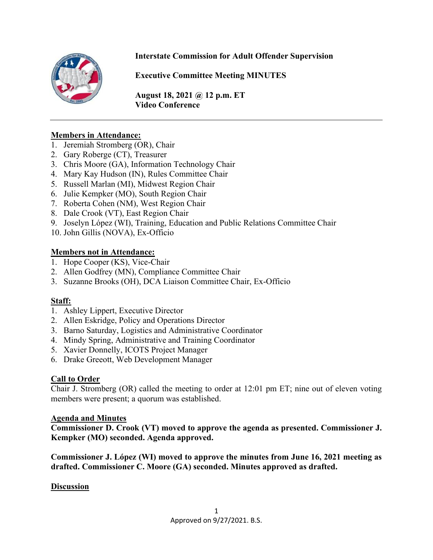

### **Interstate Commission for Adult Offender Supervision**

**Executive Committee Meeting MINUTES**

**August 18, 2021 @ 12 p.m. ET Video Conference** 

#### **Members in Attendance:**

- 1. Jeremiah Stromberg (OR), Chair
- 2. Gary Roberge (CT), Treasurer
- 3. Chris Moore (GA), Information Technology Chair
- 4. Mary Kay Hudson (IN), Rules Committee Chair
- 5. Russell Marlan (MI), Midwest Region Chair
- 6. Julie Kempker (MO), South Region Chair
- 7. Roberta Cohen (NM), West Region Chair
- 8. Dale Crook (VT), East Region Chair
- 9. Joselyn López (WI), Training, Education and Public Relations Committee Chair
- 10. John Gillis (NOVA), Ex-Officio

#### **Members not in Attendance:**

- 1. Hope Cooper (KS), Vice-Chair
- 2. Allen Godfrey (MN), Compliance Committee Chair
- 3. Suzanne Brooks (OH), DCA Liaison Committee Chair, Ex-Officio

#### **Staff:**

- 1. Ashley Lippert, Executive Director
- 2. Allen Eskridge, Policy and Operations Director
- 3. Barno Saturday, Logistics and Administrative Coordinator
- 4. Mindy Spring, Administrative and Training Coordinator
- 5. Xavier Donnelly, ICOTS Project Manager
- 6. Drake Greeott, Web Development Manager

#### **Call to Order**

Chair J. Stromberg (OR) called the meeting to order at 12:01 pm ET; nine out of eleven voting members were present; a quorum was established.

#### **Agenda and Minutes**

**Commissioner D. Crook (VT) moved to approve the agenda as presented. Commissioner J. Kempker (MO) seconded. Agenda approved.** 

**Commissioner J. López (WI) moved to approve the minutes from June 16, 2021 meeting as drafted. Commissioner C. Moore (GA) seconded. Minutes approved as drafted.** 

#### **Discussion**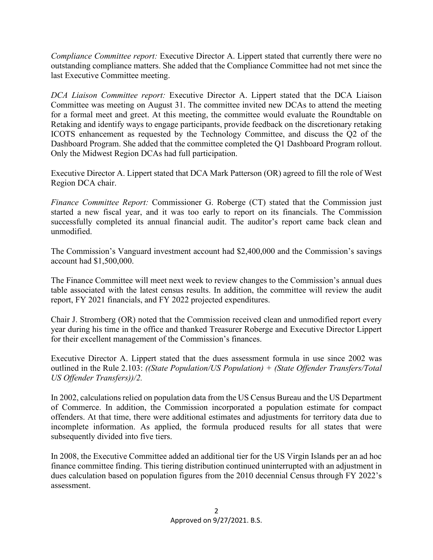*Compliance Committee report:* Executive Director A. Lippert stated that currently there were no outstanding compliance matters. She added that the Compliance Committee had not met since the last Executive Committee meeting.

*DCA Liaison Committee report:* Executive Director A. Lippert stated that the DCA Liaison Committee was meeting on August 31. The committee invited new DCAs to attend the meeting for a formal meet and greet. At this meeting, the committee would evaluate the Roundtable on Retaking and identify ways to engage participants, provide feedback on the discretionary retaking ICOTS enhancement as requested by the Technology Committee, and discuss the Q2 of the Dashboard Program. She added that the committee completed the Q1 Dashboard Program rollout. Only the Midwest Region DCAs had full participation.

Executive Director A. Lippert stated that DCA Mark Patterson (OR) agreed to fill the role of West Region DCA chair.

*Finance Committee Report:* Commissioner G. Roberge (CT) stated that the Commission just started a new fiscal year, and it was too early to report on its financials. The Commission successfully completed its annual financial audit. The auditor's report came back clean and unmodified.

The Commission's Vanguard investment account had \$2,400,000 and the Commission's savings account had \$1,500,000.

The Finance Committee will meet next week to review changes to the Commission's annual dues table associated with the latest census results. In addition, the committee will review the audit report, FY 2021 financials, and FY 2022 projected expenditures.

Chair J. Stromberg (OR) noted that the Commission received clean and unmodified report every year during his time in the office and thanked Treasurer Roberge and Executive Director Lippert for their excellent management of the Commission's finances.

Executive Director A. Lippert stated that the dues assessment formula in use since 2002 was outlined in the Rule 2.103: *((State Population/US Population) + (State Offender Transfers/Total US Offender Transfers))/2.* 

In 2002, calculations relied on population data from the US Census Bureau and the US Department of Commerce. In addition, the Commission incorporated a population estimate for compact offenders. At that time, there were additional estimates and adjustments for territory data due to incomplete information. As applied, the formula produced results for all states that were subsequently divided into five tiers.

In 2008, the Executive Committee added an additional tier for the US Virgin Islands per an ad hoc finance committee finding. This tiering distribution continued uninterrupted with an adjustment in dues calculation based on population figures from the 2010 decennial Census through FY 2022's assessment.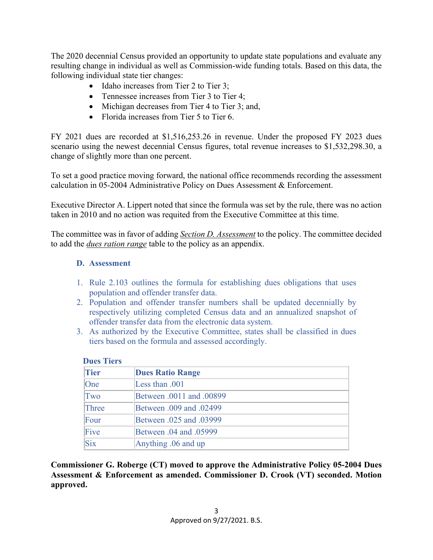The 2020 decennial Census provided an opportunity to update state populations and evaluate any resulting change in individual as well as Commission-wide funding totals. Based on this data, the following individual state tier changes:

- Idaho increases from Tier 2 to Tier 3;
- Tennessee increases from Tier 3 to Tier 4;
- Michigan decreases from Tier 4 to Tier 3; and,
- Florida increases from Tier 5 to Tier 6.

FY 2021 dues are recorded at \$1,516,253.26 in revenue. Under the proposed FY 2023 dues scenario using the newest decennial Census figures, total revenue increases to \$1,532,298.30, a change of slightly more than one percent.

To set a good practice moving forward, the national office recommends recording the assessment calculation in 05-2004 Administrative Policy on Dues Assessment & Enforcement.

Executive Director A. Lippert noted that since the formula was set by the rule, there was no action taken in 2010 and no action was requited from the Executive Committee at this time.

The committee was in favor of adding *Section D. Assessment* to the policy. The committee decided to add the *dues ration range* table to the policy as an appendix.

#### **D. Assessment**

- 1. Rule 2.103 outlines the formula for establishing dues obligations that uses population and offender transfer data.
- 2. Population and offender transfer numbers shall be updated decennially by respectively utilizing completed Census data and an annualized snapshot of offender transfer data from the electronic data system.
- 3. As authorized by the Executive Committee, states shall be classified in dues tiers based on the formula and assessed accordingly.

| <b>Tier</b> | <b>Dues Ratio Range</b>        |
|-------------|--------------------------------|
| One         | Less than .001                 |
| Two         | Between .0011 and .00899       |
| Three       | Between .009 and .02499        |
| Four        | <b>Between .025 and .03999</b> |
| Five        | <b>Between .04 and .05999</b>  |
| Six         | Anything .06 and up            |

 **Dues Tiers**

**Commissioner G. Roberge (CT) moved to approve the Administrative Policy 05-2004 Dues Assessment & Enforcement as amended. Commissioner D. Crook (VT) seconded. Motion approved.**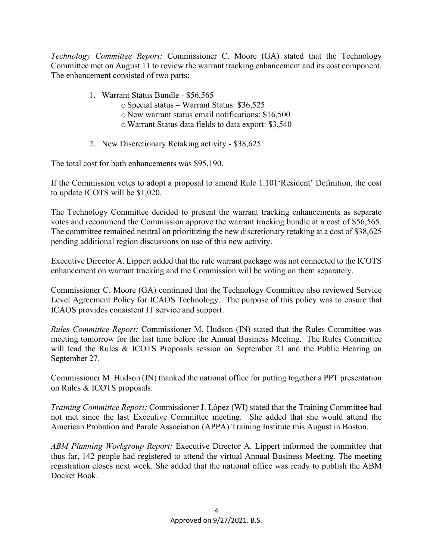*Technology Committee Report:* Commissioner C. Moore (GA) stated that the Technology Committee met on August 11 to review the warrant tracking enhancement and its cost component. The enhancement consisted of two parts:

- 1. Warrant Status Bundle \$56,565
	- oSpecial status Warrant Status: \$36,525
	- o New warrant status email notifications: \$16,500
	- oWarrant Status data fields to data export: \$3,540
- 2. New Discretionary Retaking activity \$38,625

The total cost for both enhancements was \$95,190.

If the Commission votes to adopt a proposal to amend Rule 1.101'Resident' Definition, the cost to update ICOTS will be \$1,020.

The Technology Committee decided to present the warrant tracking enhancements as separate votes and recommend the Commission approve the warrant tracking bundle at a cost of \$56,565. The committee remained neutral on prioritizing the new discretionary retaking at a cost of \$38,625 pending additional region discussions on use of this new activity.

Executive Director A. Lippert added that the rule warrant package was not connected to the ICOTS enhancement on warrant tracking and the Commission will be voting on them separately.

Commissioner C. Moore (GA) continued that the Technology Committee also reviewed Service Level Agreement Policy for ICAOS Technology. The purpose of this policy was to ensure that ICAOS provides consistent IT service and support.

*Rules Committee Report:* Commissioner M. Hudson (IN) stated that the Rules Committee was meeting tomorrow for the last time before the Annual Business Meeting. The Rules Committee will lead the Rules & ICOTS Proposals session on September 21 and the Public Hearing on September 27.

Commissioner M. Hudson (IN) thanked the national office for putting together a PPT presentation on Rules & ICOTS proposals.

*Training Committee Report:* Commissioner J. López (WI) stated that the Training Committee had not met since the last Executive Committee meeting. She added that she would attend the American Probation and Parole Association (APPA) Training Institute this August in Boston.

*ABM Planning Workgroup Report:* Executive Director A. Lippert informed the committee that thus far, 142 people had registered to attend the virtual Annual Business Meeting. The meeting registration closes next week. She added that the national office was ready to publish the ABM Docket Book.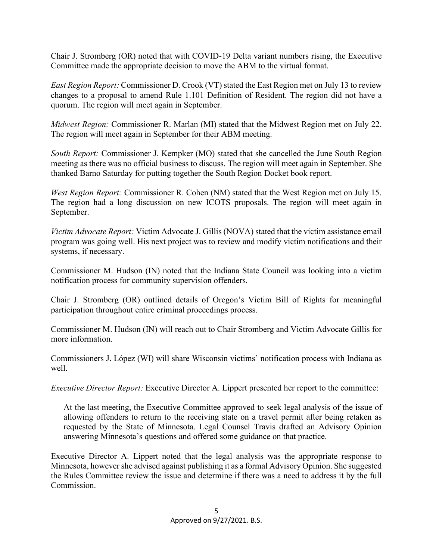Chair J. Stromberg (OR) noted that with COVID-19 Delta variant numbers rising, the Executive Committee made the appropriate decision to move the ABM to the virtual format.

*East Region Report:* Commissioner D. Crook (VT) stated the East Region met on July 13 to review changes to a proposal to amend Rule 1.101 Definition of Resident. The region did not have a quorum. The region will meet again in September.

*Midwest Region:* Commissioner R. Marlan (MI) stated that the Midwest Region met on July 22. The region will meet again in September for their ABM meeting.

*South Report:* Commissioner J. Kempker (MO) stated that she cancelled the June South Region meeting as there was no official business to discuss. The region will meet again in September. She thanked Barno Saturday for putting together the South Region Docket book report.

*West Region Report:* Commissioner R. Cohen (NM) stated that the West Region met on July 15. The region had a long discussion on new ICOTS proposals. The region will meet again in September.

*Victim Advocate Report:* Victim Advocate J. Gillis (NOVA) stated that the victim assistance email program was going well. His next project was to review and modify victim notifications and their systems, if necessary.

Commissioner M. Hudson (IN) noted that the Indiana State Council was looking into a victim notification process for community supervision offenders.

Chair J. Stromberg (OR) outlined details of Oregon's Victim Bill of Rights for meaningful participation throughout entire criminal proceedings process.

Commissioner M. Hudson (IN) will reach out to Chair Stromberg and Victim Advocate Gillis for more information.

Commissioners J. López (WI) will share Wisconsin victims' notification process with Indiana as well.

*Executive Director Report:* Executive Director A. Lippert presented her report to the committee:

At the last meeting, the Executive Committee approved to seek legal analysis of the issue of allowing offenders to return to the receiving state on a travel permit after being retaken as requested by the State of Minnesota. Legal Counsel Travis drafted an Advisory Opinion answering Minnesota's questions and offered some guidance on that practice.

Executive Director A. Lippert noted that the legal analysis was the appropriate response to Minnesota, however she advised against publishing it as a formal Advisory Opinion. She suggested the Rules Committee review the issue and determine if there was a need to address it by the full Commission.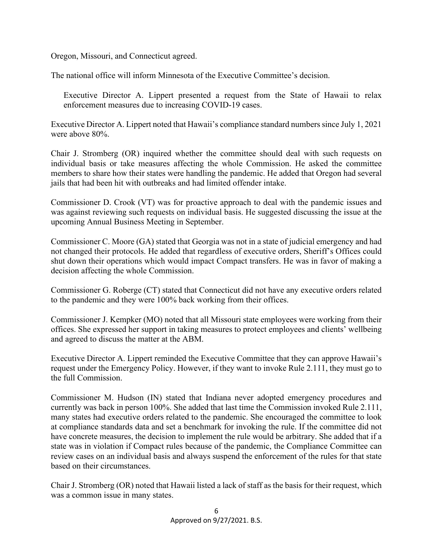Oregon, Missouri, and Connecticut agreed.

The national office will inform Minnesota of the Executive Committee's decision.

Executive Director A. Lippert presented a request from the State of Hawaii to relax enforcement measures due to increasing COVID-19 cases.

Executive Director A. Lippert noted that Hawaii's compliance standard numbers since July 1, 2021 were above 80%.

Chair J. Stromberg (OR) inquired whether the committee should deal with such requests on individual basis or take measures affecting the whole Commission. He asked the committee members to share how their states were handling the pandemic. He added that Oregon had several jails that had been hit with outbreaks and had limited offender intake.

Commissioner D. Crook (VT) was for proactive approach to deal with the pandemic issues and was against reviewing such requests on individual basis. He suggested discussing the issue at the upcoming Annual Business Meeting in September.

Commissioner C. Moore (GA) stated that Georgia was not in a state of judicial emergency and had not changed their protocols. He added that regardless of executive orders, Sheriff's Offices could shut down their operations which would impact Compact transfers. He was in favor of making a decision affecting the whole Commission.

Commissioner G. Roberge (CT) stated that Connecticut did not have any executive orders related to the pandemic and they were 100% back working from their offices.

Commissioner J. Kempker (MO) noted that all Missouri state employees were working from their offices. She expressed her support in taking measures to protect employees and clients' wellbeing and agreed to discuss the matter at the ABM.

Executive Director A. Lippert reminded the Executive Committee that they can approve Hawaii's request under the Emergency Policy. However, if they want to invoke Rule 2.111, they must go to the full Commission.

Commissioner M. Hudson (IN) stated that Indiana never adopted emergency procedures and currently was back in person 100%. She added that last time the Commission invoked Rule 2.111, many states had executive orders related to the pandemic. She encouraged the committee to look at compliance standards data and set a benchmark for invoking the rule. If the committee did not have concrete measures, the decision to implement the rule would be arbitrary. She added that if a state was in violation if Compact rules because of the pandemic, the Compliance Committee can review cases on an individual basis and always suspend the enforcement of the rules for that state based on their circumstances.

Chair J. Stromberg (OR) noted that Hawaii listed a lack of staff as the basis for their request, which was a common issue in many states.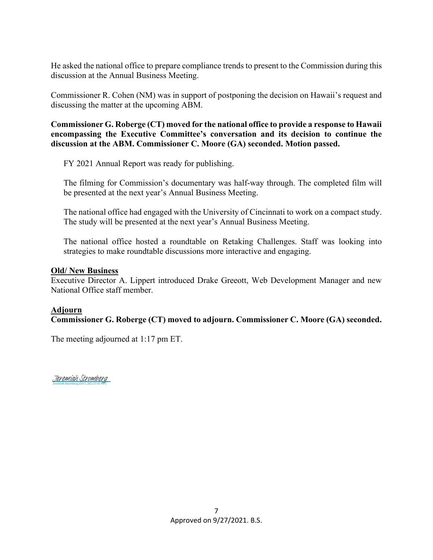He asked the national office to prepare compliance trends to present to the Commission during this discussion at the Annual Business Meeting.

Commissioner R. Cohen (NM) was in support of postponing the decision on Hawaii's request and discussing the matter at the upcoming ABM.

**Commissioner G. Roberge (CT) moved for the national office to provide a response to Hawaii encompassing the Executive Committee's conversation and its decision to continue the discussion at the ABM. Commissioner C. Moore (GA) seconded. Motion passed.** 

FY 2021 Annual Report was ready for publishing.

The filming for Commission's documentary was half-way through. The completed film will be presented at the next year's Annual Business Meeting.

The national office had engaged with the University of Cincinnati to work on a compact study. The study will be presented at the next year's Annual Business Meeting.

The national office hosted a roundtable on Retaking Challenges. Staff was looking into strategies to make roundtable discussions more interactive and engaging.

#### **Old/ New Business**

Executive Director A. Lippert introduced Drake Greeott, Web Development Manager and new National Office staff member.

#### **Adjourn**

**Commissioner G. Roberge (CT) moved to adjourn. Commissioner C. Moore (GA) seconded.** 

The meeting adjourned at 1:17 pm ET.

Jeremiah Stromberg (Oct 5, 2021 07:47 PDT) [Jeremiah Stromberg](https://eu1.documents.adobe.com/verifier?tx=CBJCHBCAABAAZeWMeff7RzmmEknXsVNNicdsqw9qXQ5t)